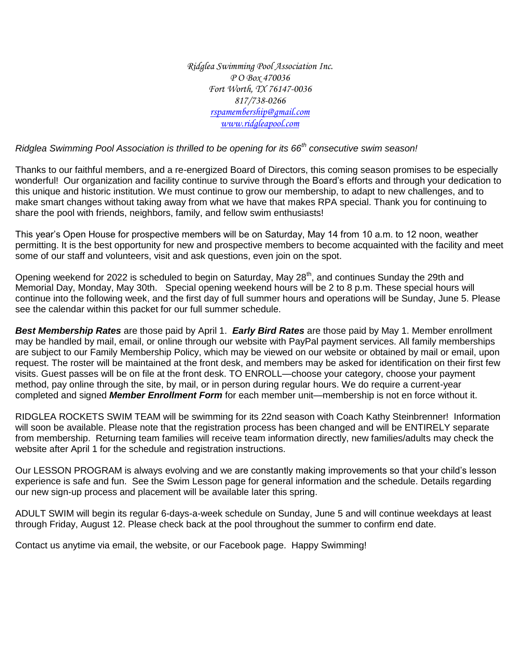*Ridglea Swimming Pool Association Inc. P O Box 470036 Fort Worth, TX 76147-0036 817/738-0266 [rspamembership@gmail.com](mailto:rspamembership@gmail.com) [www.ridgleapool.com](http://www.ridgleapool.com/)*

*Ridglea Swimming Pool Association is thrilled to be opening for its 66th consecutive swim season!* 

Thanks to our faithful members, and a re-energized Board of Directors, this coming season promises to be especially wonderful! Our organization and facility continue to survive through the Board's efforts and through your dedication to this unique and historic institution. We must continue to grow our membership, to adapt to new challenges, and to make smart changes without taking away from what we have that makes RPA special. Thank you for continuing to share the pool with friends, neighbors, family, and fellow swim enthusiasts!

This year's Open House for prospective members will be on Saturday, May 14 from 10 a.m. to 12 noon, weather permitting. It is the best opportunity for new and prospective members to become acquainted with the facility and meet some of our staff and volunteers, visit and ask questions, even join on the spot.

Opening weekend for 2022 is scheduled to begin on Saturday, May 28<sup>th</sup>, and continues Sunday the 29th and Memorial Day, Monday, May 30th. Special opening weekend hours will be 2 to 8 p.m. These special hours will continue into the following week, and the first day of full summer hours and operations will be Sunday, June 5. Please see the calendar within this packet for our full summer schedule.

*Best Membership Rates* are those paid by April 1. *Early Bird Rates* are those paid by May 1. Member enrollment may be handled by mail, email, or online through our website with PayPal payment services. All family memberships are subject to our Family Membership Policy, which may be viewed on our website or obtained by mail or email, upon request. The roster will be maintained at the front desk, and members may be asked for identification on their first few visits. Guest passes will be on file at the front desk. TO ENROLL—choose your category, choose your payment method, pay online through the site, by mail, or in person during regular hours. We do require a current-year completed and signed *Member Enrollment Form* for each member unit—membership is not en force without it.

RIDGLEA ROCKETS SWIM TEAM will be swimming for its 22nd season with Coach Kathy Steinbrenner! Information will soon be available. Please note that the registration process has been changed and will be ENTIRELY separate from membership. Returning team families will receive team information directly, new families/adults may check the website after April 1 for the schedule and registration instructions.

Our LESSON PROGRAM is always evolving and we are constantly making improvements so that your child's lesson experience is safe and fun. See the Swim Lesson page for general information and the schedule. Details regarding our new sign-up process and placement will be available later this spring.

ADULT SWIM will begin its regular 6-days-a-week schedule on Sunday, June 5 and will continue weekdays at least through Friday, August 12. Please check back at the pool throughout the summer to confirm end date.

Contact us anytime via email, the website, or our Facebook page. Happy Swimming!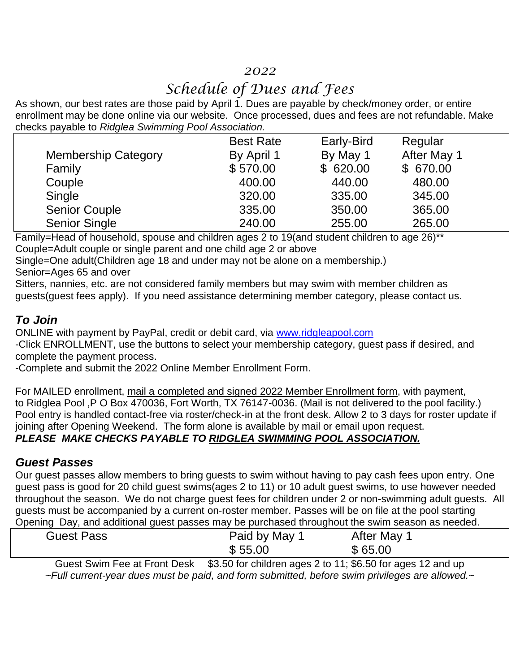### *2022*

## *Schedule of Dues and Fees*

As shown, our best rates are those paid by April 1. Dues are payable by check/money order, or entire enrollment may be done online via our website. Once processed, dues and fees are not refundable. Make checks payable to *Ridglea Swimming Pool Association.*

|                            | <b>Best Rate</b> | Early-Bird | Regular     |  |
|----------------------------|------------------|------------|-------------|--|
| <b>Membership Category</b> | By April 1       | By May 1   | After May 1 |  |
| Family                     | \$570.00         | \$620.00   | \$670.00    |  |
| Couple                     | 400.00           | 440.00     | 480.00      |  |
| Single                     | 320.00           | 335.00     | 345.00      |  |
| <b>Senior Couple</b>       | 335.00           | 350.00     | 365.00      |  |
| <b>Senior Single</b>       | 240.00           | 255.00     | 265.00      |  |
|                            |                  |            |             |  |

Family=Head of household, spouse and children ages 2 to 19(and student children to age 26)\*\* Couple=Adult couple or single parent and one child age 2 or above

Single=One adult(Children age 18 and under may not be alone on a membership.)

Senior=Ages 65 and over

Sitters, nannies, etc. are not considered family members but may swim with member children as guests(guest fees apply). If you need assistance determining member category, please contact us.

#### *To Join*

ONLINE with payment by PayPal, credit or debit card, via [www.ridgleapool.com](http://www.ridgleapool.com/) -Click ENROLLMENT, use the buttons to select your membership category, guest pass if desired, and complete the payment process.

-Complete and submit the 2022 Online Member Enrollment Form.

For MAILED enrollment, mail a completed and signed 2022 Member Enrollment form, with payment, to Ridglea Pool ,P O Box 470036, Fort Worth, TX 76147-0036. (Mail is not delivered to the pool facility.) Pool entry is handled contact-free via roster/check-in at the front desk. Allow 2 to 3 days for roster update if joining after Opening Weekend. The form alone is available by mail or email upon request. *PLEASE MAKE CHECKS PAYABLE TO RIDGLEA SWIMMING POOL ASSOCIATION.*

#### *Guest Passes*

Our guest passes allow members to bring guests to swim without having to pay cash fees upon entry. One guest pass is good for 20 child guest swims(ages 2 to 11) or 10 adult guest swims, to use however needed throughout the season. We do not charge guest fees for children under 2 or non-swimming adult guests. All guests must be accompanied by a current on-roster member. Passes will be on file at the pool starting Opening Day, and additional guest passes may be purchased throughout the swim season as needed.

| Guest Pass                                   | Paid by May 1                                        | After May                                                         |
|----------------------------------------------|------------------------------------------------------|-------------------------------------------------------------------|
|                                              | \$55.00                                              | \$65.00                                                           |
| .<br>$\overline{\phantom{a}}$<br>_<br>$\sim$ | $\bullet\bullet\bullet\bullet\bullet\bullet$<br>.  . | $\sim$ $\sim$ $\sim$ $\sim$ $\sim$ $\sim$ $\sim$ $\sim$<br>$\sim$ |

Guest Swim Fee at Front Desk \$3.50 for children ages 2 to 11; \$6.50 for ages 12 and up *~Full current-year dues must be paid, and form submitted, before swim privileges are allowed.~*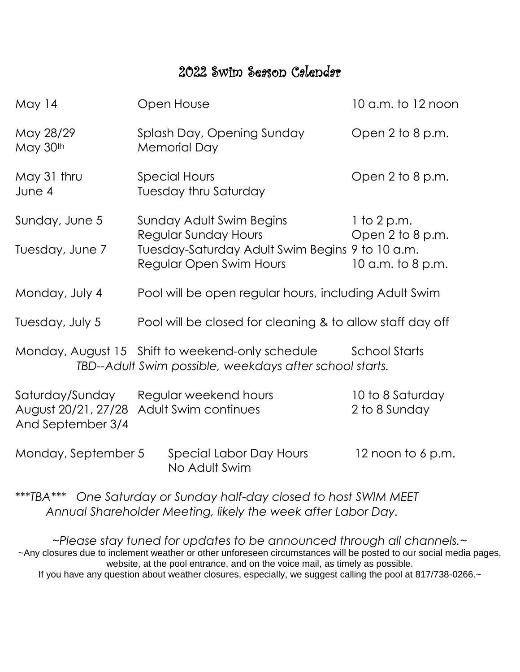## 2022 Swim Season Calendar

| May 14                                                      | Open House                                                                                                                            | 10 a.m. to 12 noon                                     |
|-------------------------------------------------------------|---------------------------------------------------------------------------------------------------------------------------------------|--------------------------------------------------------|
| May 28/29<br>May 30th                                       | Splash Day, Opening Sunday<br><b>Memorial Day</b>                                                                                     | Open 2 to 8 p.m.                                       |
| May 31 thru<br>June 4                                       | <b>Special Hours</b><br><b>Tuesday thru Saturday</b>                                                                                  | Open 2 to 8 p.m.                                       |
| Sunday, June 5<br>Tuesday, June 7                           | Sunday Adult Swim Begins<br><b>Regular Sunday Hours</b><br>Tuesday-Saturday Adult Swim Begins 9 to 10 a.m.<br>Regular Open Swim Hours | $1$ to 2 p.m.<br>Open 2 to 8 p.m.<br>10 a.m. to 8 p.m. |
| Monday, July 4                                              | Pool will be open regular hours, including Adult Swim                                                                                 |                                                        |
| Tuesday, July 5                                             | Pool will be closed for cleaning & to allow staff day off                                                                             |                                                        |
|                                                             | Monday, August 15 Shift to weekend-only schedule<br>TBD--Adult Swim possible, weekdays after school starts.                           | <b>School Starts</b>                                   |
| Saturday/Sunday<br>August 20/21, 27/28<br>And September 3/4 | Regular weekend hours<br><b>Adult Swim continues</b>                                                                                  | 10 to 8 Saturday<br>2 to 8 Sunday                      |
| Monday, September 5                                         | Special Labor Day Hours<br>No Adult Swim                                                                                              | 12 noon to $6$ p.m.                                    |
|                                                             |                                                                                                                                       |                                                        |

\*\*\**TBA\*\*\* One Saturday or Sunday half-day closed to host SWIM MEET Annual Shareholder Meeting, likely the week after Labor Day.*

*~Please stay tuned for updates to be announced through all channels.~* ~Any closures due to inclement weather or other unforeseen circumstances will be posted to our social media pages, website, at the pool entrance, and on the voice mail, as timely as possible. If you have any question about weather closures, especially, we suggest calling the pool at 817/738-0266.~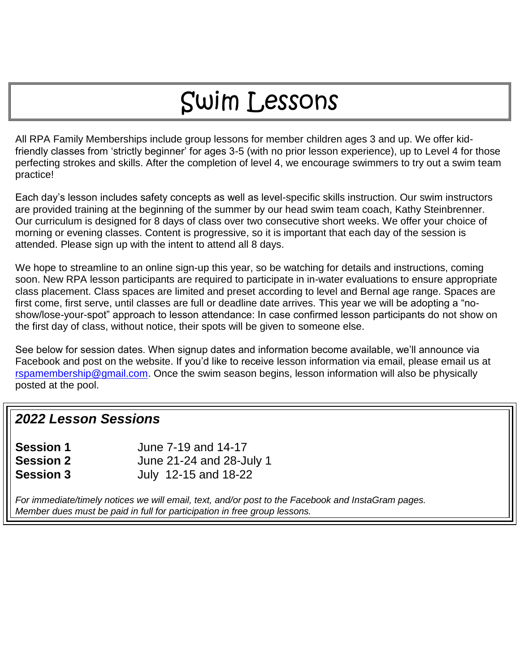# Swim Lessons

All RPA Family Memberships include group lessons for member children ages 3 and up. We offer kidfriendly classes from 'strictly beginner' for ages 3-5 (with no prior lesson experience), up to Level 4 for those perfecting strokes and skills. After the completion of level 4, we encourage swimmers to try out a swim team practice!

Each day's lesson includes safety concepts as well as level-specific skills instruction. Our swim instructors are provided training at the beginning of the summer by our head swim team coach, Kathy Steinbrenner. Our curriculum is designed for 8 days of class over two consecutive short weeks. We offer your choice of morning or evening classes. Content is progressive, so it is important that each day of the session is attended. Please sign up with the intent to attend all 8 days.

We hope to streamline to an online sign-up this year, so be watching for details and instructions, coming soon. New RPA lesson participants are required to participate in in-water evaluations to ensure appropriate class placement. Class spaces are limited and preset according to level and Bernal age range. Spaces are first come, first serve, until classes are full or deadline date arrives. This year we will be adopting a "noshow/lose-your-spot" approach to lesson attendance: In case confirmed lesson participants do not show on the first day of class, without notice, their spots will be given to someone else.

See below for session dates. When signup dates and information become available, we'll announce via Facebook and post on the website. If you'd like to receive lesson information via email, please email us at [rspamembership@gmail.com.](mailto:rspamembership@gmail.com) Once the swim season begins, lesson information will also be physically posted at the pool.

## *2022 Lesson Sessions*

| <b>Session 1</b> | June 7-19 and 14-17      |
|------------------|--------------------------|
| <b>Session 2</b> | June 21-24 and 28-July 1 |
| <b>Session 3</b> | July 12-15 and 18-22     |

*For immediate/timely notices we will email, text, and/or post to the Facebook and InstaGram pages. Member dues must be paid in full for participation in free group lessons.*